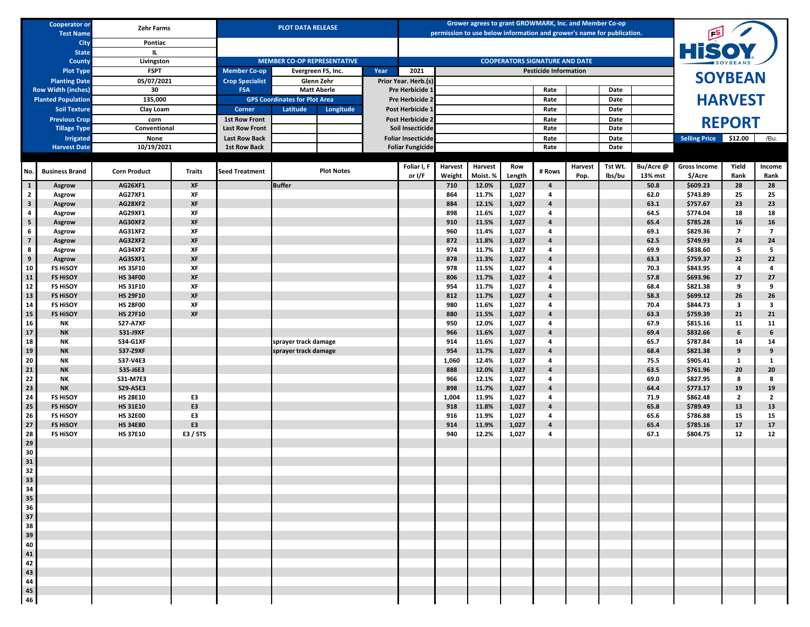|                                                                            | <b>Cooperator or</b><br><b>Test Name</b>               | <b>Zehr Farms</b>                  |                       |                                                                                | <b>PLOT DATA RELEASE</b>           |                    |      |                                    |                   | Grower agrees to grant GROWMARK, Inc. and Member Co-op<br>permission to use below information and grower's name for publication. |                |                                       |                 |                   |                      |                                |                |                |
|----------------------------------------------------------------------------|--------------------------------------------------------|------------------------------------|-----------------------|--------------------------------------------------------------------------------|------------------------------------|--------------------|------|------------------------------------|-------------------|----------------------------------------------------------------------------------------------------------------------------------|----------------|---------------------------------------|-----------------|-------------------|----------------------|--------------------------------|----------------|----------------|
|                                                                            | City<br><b>State</b>                                   | Pontiac                            |                       |                                                                                |                                    |                    |      |                                    |                   |                                                                                                                                  |                |                                       |                 |                   |                      | <b>HiSOY</b>                   |                |                |
|                                                                            | County                                                 | Livingston                         |                       |                                                                                | <b>MEMBER CO-OP REPRESENTATIVE</b> |                    |      |                                    |                   |                                                                                                                                  |                | <b>COOPERATORS SIGNATURE AND DATE</b> |                 |                   |                      |                                |                |                |
|                                                                            | <b>Plot Type</b>                                       | <b>FSPT</b>                        |                       | <b>Member Co-op</b>                                                            |                                    | Evergreen FS, Inc. | Year | 2021                               |                   |                                                                                                                                  |                | <b>Pesticide Information</b>          |                 |                   |                      |                                |                |                |
|                                                                            | <b>Planting Date</b>                                   | 05/07/2021                         |                       | <b>Crop Specialist</b>                                                         |                                    | Glenn Zehr         |      | Prior Year. Herb.(s)               |                   |                                                                                                                                  |                |                                       |                 |                   |                      |                                | <b>SOYBEAN</b> |                |
|                                                                            | <b>Row Width (inches)</b><br><b>Planted Population</b> | 30<br>135,000                      |                       | <b>FSA</b>                                                                     |                                    | <b>Matt Aberle</b> |      | Pre Herbicide 1<br>Pre Herbicide 2 |                   |                                                                                                                                  |                | Rate<br>Rate                          |                 | Date<br>Date      |                      |                                |                |                |
|                                                                            | <b>Soil Texture</b>                                    | Clay Loam                          |                       | <b>GPS Coordinates for Plot Area</b><br><b>Corner</b><br>Latitude<br>Longitude |                                    | Post Herbicide 1   |      |                                    |                   |                                                                                                                                  | Rate<br>Date   |                                       |                 |                   | <b>HARVEST</b>       |                                |                |                |
|                                                                            | <b>Previous Crop</b>                                   | corn                               |                       | <b>1st Row Front</b>                                                           |                                    |                    |      | Post Herbicide 2                   |                   |                                                                                                                                  |                | Rate                                  |                 | Date              |                      |                                | <b>REPORT</b>  |                |
|                                                                            | <b>Tillage Type</b>                                    | Conventional                       |                       | <b>Last Row Front</b>                                                          |                                    |                    |      | Soil Insecticide                   |                   |                                                                                                                                  |                | Rate                                  |                 | Date              |                      |                                |                |                |
|                                                                            | <b>Irrigated</b>                                       | None                               |                       | <b>Last Row Back</b>                                                           |                                    |                    |      | <b>Foliar Insecticide</b>          |                   |                                                                                                                                  |                | Rate                                  |                 | Date              |                      | <b>Selling Price</b>           | \$12.00        | /Bu.           |
|                                                                            | <b>Harvest Date</b>                                    | 10/19/2021                         |                       | <b>1st Row Back</b>                                                            |                                    |                    |      | <b>Foliar Fungicide</b>            |                   |                                                                                                                                  |                | Rate                                  |                 | Date              |                      |                                |                |                |
| No.                                                                        | <b>Business Brand</b>                                  | <b>Corn Product</b>                | <b>Traits</b>         | <b>Seed Treatment</b>                                                          |                                    | <b>Plot Notes</b>  |      | Foliar I, F<br>or I/F              | Harvest<br>Weight | <b>Harvest</b><br>Moist. %                                                                                                       | Row<br>Length  | # Rows                                | Harvest<br>Pop. | Tst Wt.<br>lbs/bu | Bu/Acre @<br>13% mst | <b>Gross Income</b><br>\$/Acre | Yield<br>Rank  | Income<br>Rank |
| $\mathbf{1}$                                                               | Asgrow                                                 | AG26XF1                            | XF                    |                                                                                | <b>Buffer</b>                      |                    |      |                                    | 710               | 12.0%                                                                                                                            | 1,027          | $\overline{4}$                        |                 |                   | 50.8                 | \$609.23                       | 28             | 28             |
| $\overline{2}$                                                             | Asgrow                                                 | <b>AG27XF1</b>                     | XF                    |                                                                                |                                    |                    |      |                                    | 864               | 11.7%                                                                                                                            | 1,027          | 4                                     |                 |                   | 62.0                 | \$743.89                       | 25             | 25             |
| $\overline{\mathbf{3}}$                                                    | Asgrow                                                 | <b>AG28XF2</b>                     | XF                    |                                                                                |                                    |                    |      |                                    | 884               | 12.1%                                                                                                                            | 1,027          | 4                                     |                 |                   | 63.1                 | \$757.67                       | 23             | 23             |
| 4<br>${\sf 5}$                                                             | Asgrow<br>Asgrow                                       | <b>AG29XF1</b><br><b>AG30XF2</b>   | XF<br>XF              |                                                                                |                                    |                    |      |                                    | 898<br>910        | 11.6%<br>11.5%                                                                                                                   | 1,027<br>1,027 | 4<br>$\overline{4}$                   |                 |                   | 64.5<br>65.4         | \$774.04<br>\$785.28           | 18<br>16       | 18<br>16       |
| 6                                                                          | Asgrow                                                 | <b>AG31XF2</b>                     | XF                    |                                                                                |                                    |                    |      |                                    | 960               | 11.4%                                                                                                                            | 1,027          | 4                                     |                 |                   | 69.1                 | \$829.36                       | $\overline{7}$ | $\overline{7}$ |
| $\overline{\textbf{7}}$                                                    | Asgrow                                                 | <b>AG32XF2</b>                     | XF                    |                                                                                |                                    |                    |      |                                    | 872               | 11.8%                                                                                                                            | 1,027          | $\overline{4}$                        |                 |                   | 62.5                 | \$749.93                       | 24             | 24             |
| 8                                                                          | Asgrow                                                 | <b>AG34XF2</b>                     | XF                    |                                                                                |                                    |                    |      |                                    | 974               | 11.7%                                                                                                                            | 1,027          | 4                                     |                 |                   | 69.9                 | \$838.60                       | 5              | 5              |
| $\boldsymbol{9}$                                                           | Asgrow                                                 | <b>AG35XF1</b>                     | XF                    |                                                                                |                                    |                    |      |                                    | 878               | 11.3%                                                                                                                            | 1,027          | $\overline{4}$                        |                 |                   | 63.3                 | \$759.37                       | 22             | 22             |
| 10<br>11                                                                   | <b>FS HISOY</b><br><b>FS HISOY</b>                     | <b>HS 35F10</b><br><b>HS 34F00</b> | XF<br>XF              |                                                                                |                                    |                    |      |                                    | 978<br>806        | 11.5%<br>11.7%                                                                                                                   | 1,027<br>1,027 | 4<br>$\overline{4}$                   |                 |                   | 70.3<br>57.8         | \$843.95<br>\$693.96           | 4<br>27        | 4<br>27        |
| $12\,$                                                                     | <b>FS HISOY</b>                                        | <b>HS 31F10</b>                    | XF                    |                                                                                |                                    |                    |      |                                    | 954               | 11.7%                                                                                                                            | 1,027          | 4                                     |                 |                   | 68.4                 | \$821.38                       | 9              | 9              |
| 13                                                                         | <b>FS HISOY</b>                                        | <b>HS 29F10</b>                    | XF                    |                                                                                |                                    |                    |      |                                    | 812               | 11.7%                                                                                                                            | 1,027          | $\overline{a}$                        |                 |                   | 58.3                 | \$699.12                       | 26             | 26             |
| 14                                                                         | <b>FS HISOY</b>                                        | <b>HS 28F00</b>                    | XF                    |                                                                                |                                    |                    |      |                                    | 980               | 11.6%                                                                                                                            | 1,027          | 4                                     |                 |                   | 70.4                 | \$844.73                       | 3              | 3              |
| 15                                                                         | <b>FS HISOY</b>                                        | <b>HS 27F10</b>                    | XF                    |                                                                                |                                    |                    |      |                                    | 880               | 11.5%                                                                                                                            | 1,027          | $\overline{4}$                        |                 |                   | 63.3                 | \$759.39                       | 21             | 21             |
| 16<br>17                                                                   | NΚ<br><b>NK</b>                                        | <b>S27-A7XF</b><br><b>S31-J9XF</b> |                       |                                                                                |                                    |                    |      |                                    | 950<br>966        | 12.0%<br>11.6%                                                                                                                   | 1,027<br>1,027 | 4<br>$\overline{4}$                   |                 |                   | 67.9<br>69.4         | \$815.16<br>\$832.66           | 11<br>6        | 11<br>6        |
| 18                                                                         | NΚ                                                     | <b>S34-G1XF</b>                    |                       |                                                                                | sprayer track damage               |                    |      |                                    | 914               | 11.6%                                                                                                                            | 1,027          | 4                                     |                 |                   | 65.7                 | \$787.84                       | 14             | 14             |
| 19                                                                         | <b>NK</b>                                              | <b>S37-Z9XF</b>                    |                       |                                                                                | sprayer track damage               |                    |      |                                    | 954               | 11.7%                                                                                                                            | 1,027          | $\overline{4}$                        |                 |                   | 68.4                 | \$821.38                       | 9              | 9              |
| 20                                                                         | NΚ                                                     | S37-V4E3                           |                       |                                                                                |                                    |                    |      |                                    | 1,060             | 12.4%                                                                                                                            | 1,027          | 4                                     |                 |                   | 75.5                 | \$905.41                       | $\mathbf{1}$   | 1              |
| $21$<br>22                                                                 | <b>NK</b><br>NΚ                                        | S35-J6E3<br>S31-M7E3               |                       |                                                                                |                                    |                    |      |                                    | 888<br>966        | 12.0%<br>12.1%                                                                                                                   | 1,027<br>1,027 | $\overline{a}$<br>4                   |                 |                   | 63.5<br>69.0         | \$761.96<br>\$827.95           | 20<br>8        | 20<br>8        |
| 23                                                                         | <b>NK</b>                                              | <b>S29-A5E3</b>                    |                       |                                                                                |                                    |                    |      |                                    | 898               | 11.7%                                                                                                                            | 1,027          | $\overline{4}$                        |                 |                   | 64.4                 | \$773.17                       | 19             | 19             |
| 24                                                                         | <b>FS HISOY</b>                                        | <b>HS 28E10</b>                    | E3                    |                                                                                |                                    |                    |      |                                    | 1,004             | 11.9%                                                                                                                            | 1,027          | 4                                     |                 |                   | 71.9                 | \$862.48                       | $\overline{2}$ | $\overline{2}$ |
| 25                                                                         | <b>FS HISOY</b>                                        | <b>HS 31E10</b>                    | E3                    |                                                                                |                                    |                    |      |                                    | 918               | 11.8%                                                                                                                            | 1,027          | $\overline{4}$                        |                 |                   | 65.8                 | \$789.49                       | 13             | 13             |
| 26                                                                         | <b>FS HISOY</b>                                        | <b>HS 32E00</b>                    | E3                    |                                                                                |                                    |                    |      |                                    | 916               | 11.9%                                                                                                                            | 1,027          | 4                                     |                 |                   | 65.6                 | \$786.88                       | 15             | 15             |
| 27<br>28                                                                   | <b>FS HISOY</b><br><b>FS HISOY</b>                     | <b>HS 34E80</b><br><b>HS 37E10</b> | E3<br><b>E3 / STS</b> |                                                                                |                                    |                    |      |                                    | 914<br>940        | 11.9%<br>12.2%                                                                                                                   | 1,027<br>1,027 | $\overline{a}$<br>4                   |                 |                   | 65.4<br>67.1         | \$785.16<br>\$804.75           | 17<br>12       | 17<br>12       |
| 29                                                                         |                                                        |                                    |                       |                                                                                |                                    |                    |      |                                    |                   |                                                                                                                                  |                |                                       |                 |                   |                      |                                |                |                |
| 30                                                                         |                                                        |                                    |                       |                                                                                |                                    |                    |      |                                    |                   |                                                                                                                                  |                |                                       |                 |                   |                      |                                |                |                |
| 31                                                                         |                                                        |                                    |                       |                                                                                |                                    |                    |      |                                    |                   |                                                                                                                                  |                |                                       |                 |                   |                      |                                |                |                |
| 32                                                                         |                                                        |                                    |                       |                                                                                |                                    |                    |      |                                    |                   |                                                                                                                                  |                |                                       |                 |                   |                      |                                |                |                |
|                                                                            |                                                        |                                    |                       |                                                                                |                                    |                    |      |                                    |                   |                                                                                                                                  |                |                                       |                 |                   |                      |                                |                |                |
|                                                                            |                                                        |                                    |                       |                                                                                |                                    |                    |      |                                    |                   |                                                                                                                                  |                |                                       |                 |                   |                      |                                |                |                |
|                                                                            |                                                        |                                    |                       |                                                                                |                                    |                    |      |                                    |                   |                                                                                                                                  |                |                                       |                 |                   |                      |                                |                |                |
|                                                                            |                                                        |                                    |                       |                                                                                |                                    |                    |      |                                    |                   |                                                                                                                                  |                |                                       |                 |                   |                      |                                |                |                |
|                                                                            |                                                        |                                    |                       |                                                                                |                                    |                    |      |                                    |                   |                                                                                                                                  |                |                                       |                 |                   |                      |                                |                |                |
|                                                                            |                                                        |                                    |                       |                                                                                |                                    |                    |      |                                    |                   |                                                                                                                                  |                |                                       |                 |                   |                      |                                |                |                |
| 33<br>34<br>35<br>36<br>37<br>38<br>39<br>40<br>41<br>42<br>44<br>45<br>46 |                                                        |                                    |                       |                                                                                |                                    |                    |      |                                    |                   |                                                                                                                                  |                |                                       |                 |                   |                      |                                |                |                |
|                                                                            |                                                        |                                    |                       |                                                                                |                                    |                    |      |                                    |                   |                                                                                                                                  |                |                                       |                 |                   |                      |                                |                |                |
|                                                                            |                                                        |                                    |                       |                                                                                |                                    |                    |      |                                    |                   |                                                                                                                                  |                |                                       |                 |                   |                      |                                |                |                |
|                                                                            |                                                        |                                    |                       |                                                                                |                                    |                    |      |                                    |                   |                                                                                                                                  |                |                                       |                 |                   |                      |                                |                |                |
|                                                                            |                                                        |                                    |                       |                                                                                |                                    |                    |      |                                    |                   |                                                                                                                                  |                |                                       |                 |                   |                      |                                |                |                |